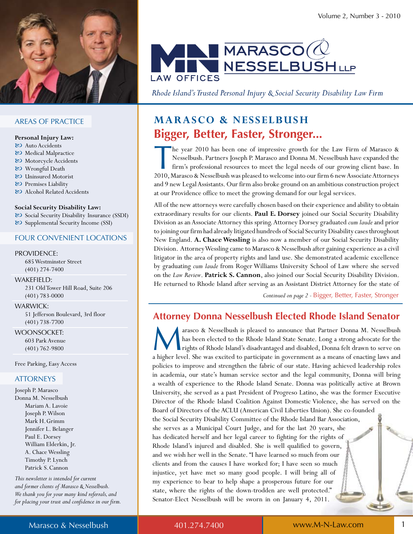

## **AREAS OF PRACTICE**

#### Personal Injury Law:

- & Auto Accidents
- & Medical Malpractice
- & Motorcycle Accidents
- 80 Wrongful Death
- & Uninsured Motorist
- & Premises Liability
- & Alcohol Related Accidents

#### Social Security Disability Law:

& Social Security Disability Insurance (SSDI) & Supplemental Security Income (SSI)

### **FOUR CONVENIENT LOCATIONS**

#### **PROVIDENCE:**

685 Westminster Street  $(401)$  274-7400

### WAKEFIELD:

231 Old Tower Hill Road, Suite 206  $(401) 783 - 0000$ 

### **WARWICK:**

51 Jefferson Boulevard, 3rd floor  $(401) 738 - 7700$ 

**WOONSOCKET:** 603 Park Avenue  $(401) 762 - 9800$ 

Free Parking, Easy Access

### **ATTORNEYS**

Joseph P. Marasco Donna M. Nesselbush Mariam A. Lavoie Joseph P. Wilson Mark H. Grimm Jennifer L. Belanger Paul E. Dorsey William Elderkin, Jr. A. Chace Wessling Timothy P. Lynch Patrick S. Cannon

This newsletter is intended for current and former clients of Marasco & Nesselbush. We thank you for your many kind referrals, and for placing your trust and confidence in our firm.



Rhode Island's Trusted Personal Injury & Social Security Disability Law Firm

# **MARASCO & NESSELBUSH** Bigger, Better, Faster, Stronger...

he year 2010 has been one of impressive growth for the Law Firm of Marasco & Nesselbush. Partners Joseph P. Marasco and Donna M. Nesselbush have expanded the firm's professional resources to meet the legal needs of our growing client base. In 2010, Marasco & Nesselbush was pleased to welcome into our firm 6 new Associate Attorneys and 9 new Legal Assistants. Our firm also broke ground on an ambitious construction project at our Providence office to meet the growing demand for our legal services.

All of the new attorneys were carefully chosen based on their experience and ability to obtain extraordinary results for our clients. Paul E. Dorsey joined our Social Security Disability Division as an Associate Attorney this spring. Attorney Dorsey graduated cum laude and prior to joining our firm had already litigated hundreds of Social Security Disability cases throughout New England. A. Chace Wessling is also now a member of our Social Security Disability Division. Attorney Wessling came to Marasco & Nesselbush after gaining experience as a civil litigator in the area of property rights and land use. She demonstrated academic excellence by graduating cum laude from Roger Williams University School of Law where she served on the Law Review. Patrick S. Cannon, also joined our Social Security Disability Division. He returned to Rhode Island after serving as an Assistant District Attorney for the state of

Continued on page 2 - Bigger, Better, Faster, Stronger

# **Attorney Donna Nesselbush Elected Rhode Island Senator**

arasco & Nesselbush is pleased to announce that Partner Donna M. Nesselbush has been elected to the Rhode Island State Senate. Long a strong advocate for the rights of Rhode Island's disadvantaged and disabled, Donna felt drawn to serve on a higher level. She was excited to participate in government as a means of enacting laws and policies to improve and strengthen the fabric of our state. Having achieved leadership roles in academia, our state's human service sector and the legal community, Donna will bring a wealth of experience to the Rhode Island Senate. Donna was politically active at Brown University, she served as a past President of Progreso Latino, she was the former Executive Director of the Rhode Island Coalition Against Domestic Violence, she has served on the Board of Directors of the ACLU (American Civil Liberties Union). She co-founded the Social Security Disability Committee of the Rhode Island Bar Association, she serves as a Municipal Court Judge, and for the last 20 years, she has dedicated herself and her legal career to fighting for the rights of Rhode Island's injured and disabled. She is well qualified to govern, and we wish her well in the Senate. "I have learned so much from our clients and from the causes I have worked for; I have seen so much injustice, yet have met so many good people. I will bring all of my experience to bear to help shape a prosperous future for our state, where the rights of the down-trodden are well protected." Senator-Elect Nesselbush will be sworn in on January 4, 2011.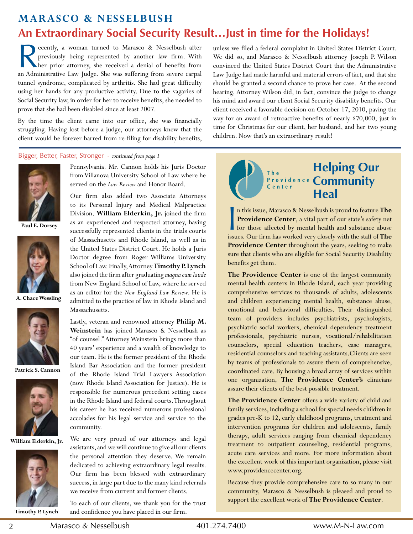# **Marasco & Nesselbush An Extraordinary Social Security Result…Just in time for the Holidays!**

 $\overline{R}$ ecently, a woman turned to Marasco & Nesselbush after previously being represented by another law firm. With **No her** prior attorney, she received a denial of benefits from an Administrative Law Judge. She was suffering from severe carpal tunnel syndrome, complicated by arthritis. She had great difficulty using her hands for any productive activity. Due to the vagaries of Social Security law, in order for her to receive benefits, she needed to prove that she had been disabled since at least 2007.

By the time the client came into our office, she was financially struggling. Having lost before a judge, our attorneys knew that the client would be forever barred from re-filing for disability benefits,

Bigger, Better, faster, stronger - *continued from page 1* 



Paul E. Dorsey



**a. chace Wessling**



**Patrick s. cannon**



**William elderkin, Jr.**



**Timothy P. lynch**

Pennsylvania. Mr. Cannon holds his Juris Doctor from Villanova University School of Law where he served on the *Law Review* and Honor Board.

Our firm also added two Associate Attorneys to its Personal Injury and Medical Malpractice Division. William Elderkin, Jr. joined the firm as an experienced and respected attorney, having successfully represented clients in the trials courts of Massachusetts and Rhode Island, as well as in the United States District Court. He holds a Juris Doctor degree from Roger Williams University School of Law. Finally, Attorney Timothy P. Lynch also joined the firm after graduating magna cum laude from New England School of Law, where he served as an editor for the *New England Law Review*. He is admitted to the practice of law in Rhode Island and Massachusetts. 

Lastly, veteran and renowned attorney Philip M. Weinstein has joined Marasco & Nesselbush as "of counsel." Attorney Weinstein brings more than 40 years' experience and a wealth of knowledge to our team. He is the former president of the Rhode Island Bar Association and the former president of the Rhode Island Trial Lawyers Association (now Rhode Island Association for Justice). He is responsible for numerous precedent setting cases in the Rhode Island and federal courts. Throughout his career he has received numerous professional accolades for his legal service and service to the community.

We are very proud of our attorneys and legal assistants, and we will continue to give all our clients the personal attention they deserve. We remain dedicated to achieving extraordinary legal results. Our firm has been blessed with extraordinary success, in large part due to the many kind referrals we receive from current and former clients.

To each of our clients, we thank you for the trust and confidence you have placed in our firm.

unless we filed a federal complaint in United States District Court. We did so, and Marasco & Nesselbush attorney Joseph P. Wilson convinced the United States District Court that the Administrative Law Judge had made harmful and material errors of fact, and that she should be granted a second chance to prove her case. At the second hearing, Attorney Wilson did, in fact, convince the judge to change his mind and award our client Social Security disability benefits. Our client received a favorable decision on October 17, 2010, paving the way for an award of retroactive benefits of nearly \$70,000, just in time for Christmas for our client, her husband, and her two young children. Now that's an extraordinary result!



In this issue, Marasco & Nesselbush is proud to feature **The Providence Center**, a vital part of our state's safety net for those affected by mental health and substance abuse issues. Our firm has worked very closely with n this issue, Marasco & Nesselbush is proud to feature The **Providence Center**, a vital part of our state's safety net for those affected by mental health and substance abuse **Providence Center** throughout the years, seeking to make sure that clients who are eligible for Social Security Disability benefits get them.

The Providence Center is one of the largest community mental health centers in Rhode Island, each year providing comprehensive services to thousands of adults, adolescents and children experiencing mental health, substance abuse, emotional and behavioral difficulties. Their distinguished team of providers includes psychiatrists, psychologists, psychiatric social workers, chemical dependency treatment professionals, psychiatric nurses, vocational/rehabilitation counselors, special education teachers, case managers, residential counselors and teaching assistants. Clients are seen by teams of professionals to assure them of comprehensive, coordinated care. By housing a broad array of services within one organization, **The Providence center's** clinicians assure their clients of the best possible treatment.

The Providence Center offers a wide variety of child and family services, including a school for special needs children in grades pre-K to 12, early childhood programs, treatment and intervention programs for children and adolescents, family therapy, adult services ranging from chemical dependency treatment to outpatient counseling, residential programs, acute care services and more. For more information about the excellent work of this important organization, please visit www.providencecenter.org.

Because they provide comprehensive care to so many in our community, Marasco & Nesselbush is pleased and proud to support the excellent work of **The Providence Center**.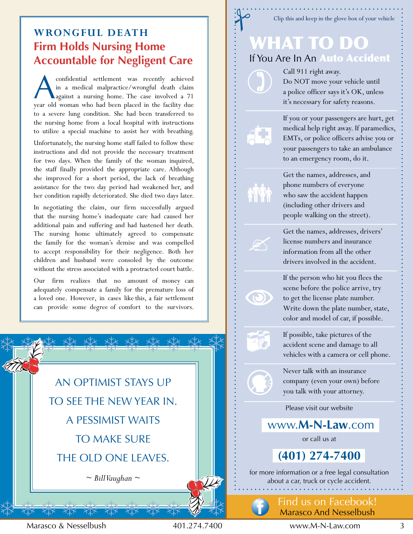# **WroNgful DeaTh Firm Holds Nursing Home Accountable for Negligent Care**

A confidential settlement was recently achieved in a medical malpractice/wrongful death claim against a nursing home. The case involved a 71 year old woman who had been placed in the facility due to a severe lung condition. She had been transferred to the nursing home from a local hospital with instructions to utilize a special machine to assist her with breathing.

Unfortunately, the nursing home staff failed to follow these instructions and did not provide the necessary treatment for two days. When the family of the woman inquired, the staff finally provided the appropriate care. Although she improved for a short period, the lack of breathing assistance for the two day period had weakened her, and her condition rapidly deteriorated. She died two days later.

In negotiating the claim, our firm successfully argued that the nursing home's inadequate care had caused her additional pain and suffering and had hastened her death. The nursing home ultimately agreed to compensate the family for the woman's demise and was compelled to accept responsibility for their negligence. Both her children and husband were consoled by the outcome without the stress associated with a protracted court battle.

Our firm realizes that no amount of money can adequately compensate a family for the premature loss of a loved one. However, in cases like this, a fair settlement can provide some degree of comfort to the survivors.



# Clip this and keep in the glove box of your vehicle

# What to Do If You Are In An Auto Accident

Call 911 right away. Do NOT move your vehicle until a police officer says it's OK, unless it's necessary for safety reasons.



 $\mathscr{A}$ 

 $\odot$ 

 $\bullet$   $\odot$ 

If you or your passengers are hurt, get medical help right away. If paramedics, EMTs, or police officers advise you or your passengers to take an ambulance to an emergency room, do it.

Get the names, addresses, and phone numbers of everyone who saw the accident happen (including other drivers and people walking on the street).

Get the names, addresses, drivers' license numbers and insurance information from all the other drivers involved in the accident.

If the person who hit you flees the scene before the police arrive, try to get the license plate number. Write down the plate number, state, color and model of car, if possible.

If possible, take pictures of the accident scene and damage to all vehicles with a camera or cell phone.

Never talk with an insurance company (even your own) before you talk with your attorney.

Please visit our website

www.**m-N-law**.com

or call us at

**(401) 274-7400** 

for more information or a free legal consultation about a car, truck or cycle accident.

> find us on facebook! Marasco And Nesselbush

Marasco & Nesselbush 401.274.7400 www.M-N-law.com 3